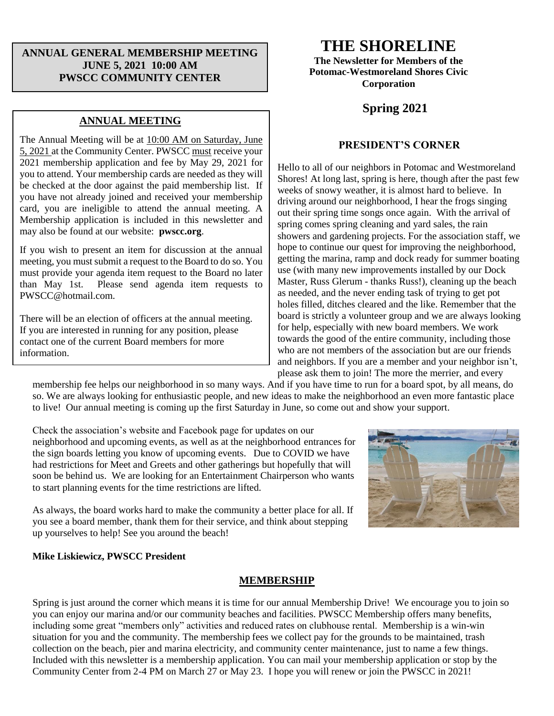# **ANNUAL GENERAL MEMBERSHIP MEETING JUNE 5, 2021 10:00 AM PWSCC COMMUNITY CENTER**

# **ANNUAL MEETING**

The Annual Meeting will be at 10:00 AM on Saturday, June 5, 2021 at the Community Center. PWSCC must receive your 2021 membership application and fee by May 29, 2021 for you to attend. Your membership cards are needed as they will be checked at the door against the paid membership list. If you have not already joined and received your membership card, you are ineligible to attend the annual meeting. A Membership application is included in this newsletter and may also be found at our website: **pwscc.org**.

If you wish to present an item for discussion at the annual meeting, you must submit a request to the Board to do so. You must provide your agenda item request to the Board no later<br>than May 1st. Please send agenda item requests to Please send agenda item requests to PWSCC@hotmail.com.

There will be an election of officers at the annual meeting. If you are interested in running for any position, please contact one of the current Board members for more information.

# **THE SHORELINE**

**The Newsletter for Members of the Potomac-Westmoreland Shores Civic Corporation**

# **Spring 2021**

### **PRESIDENT'S CORNER**

Hello to all of our neighbors in Potomac and Westmoreland Shores! At long last, spring is here, though after the past few weeks of snowy weather, it is almost hard to believe. In driving around our neighborhood, I hear the frogs singing out their spring time songs once again. With the arrival of spring comes spring cleaning and yard sales, the rain showers and gardening projects. For the association staff, we hope to continue our quest for improving the neighborhood, getting the marina, ramp and dock ready for summer boating use (with many new improvements installed by our Dock Master, Russ Glerum - thanks Russ!), cleaning up the beach as needed, and the never ending task of trying to get pot holes filled, ditches cleared and the like. Remember that the board is strictly a volunteer group and we are always looking for help, especially with new board members. We work towards the good of the entire community, including those who are not members of the association but are our friends and neighbors. If you are a member and your neighbor isn't, please ask them to join! The more the merrier, and every

membership fee helps our neighborhood in so many ways. And if you have time to run for a board spot, by all means, do so. We are always looking for enthusiastic people, and new ideas to make the neighborhood an even more fantastic place to live! Our annual meeting is coming up the first Saturday in June, so come out and show your support.

Check the association's website and Facebook page for updates on our neighborhood and upcoming events, as well as at the neighborhood entrances for the sign boards letting you know of upcoming events. Due to COVID we have had restrictions for Meet and Greets and other gatherings but hopefully that will soon be behind us. We are looking for an Entertainment Chairperson who wants to start planning events for the time restrictions are lifted.



As always, the board works hard to make the community a better place for all. If you see a board member, thank them for their service, and think about stepping up yourselves to help! See you around the beach!

### **Mike Liskiewicz, PWSCC President**

### **MEMBERSHIP**

Spring is just around the corner which means it is time for our annual Membership Drive! We encourage you to join so you can enjoy our marina and/or our community beaches and facilities. PWSCC Membership offers many benefits, including some great "members only" activities and reduced rates on clubhouse rental. Membership is a win-win situation for you and the community. The membership fees we collect pay for the grounds to be maintained, trash collection on the beach, pier and marina electricity, and community center maintenance, just to name a few things. Included with this newsletter is a membership application. You can mail your membership application or stop by the Community Center from 2-4 PM on March 27 or May 23. I hope you will renew or join the PWSCC in 2021!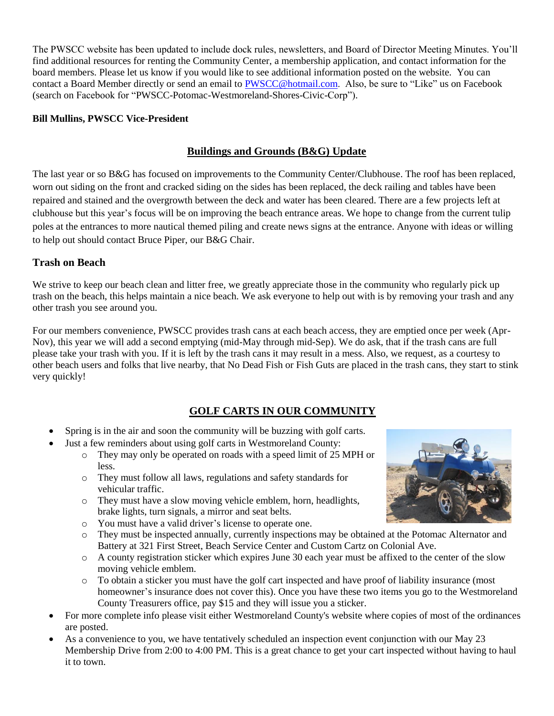The PWSCC website has been updated to include dock rules, newsletters, and Board of Director Meeting Minutes. You'll find additional resources for renting the Community Center, a membership application, and contact information for the board members. Please let us know if you would like to see additional information posted on the website. You can contact a Board Member directly or send an email to **PWSCC@hotmail.com.** Also, be sure to "Like" us on Facebook (search on Facebook for "PWSCC-Potomac-Westmoreland-Shores-Civic-Corp").

# **Bill Mullins, PWSCC Vice-President**

# **Buildings and Grounds (B&G) Update**

The last year or so B&G has focused on improvements to the Community Center/Clubhouse. The roof has been replaced, worn out siding on the front and cracked siding on the sides has been replaced, the deck railing and tables have been repaired and stained and the overgrowth between the deck and water has been cleared. There are a few projects left at clubhouse but this year's focus will be on improving the beach entrance areas. We hope to change from the current tulip poles at the entrances to more nautical themed piling and create news signs at the entrance. Anyone with ideas or willing to help out should contact Bruce Piper, our B&G Chair.

# **Trash on Beach**

We strive to keep our beach clean and litter free, we greatly appreciate those in the community who regularly pick up trash on the beach, this helps maintain a nice beach. We ask everyone to help out with is by removing your trash and any other trash you see around you.

For our members convenience, PWSCC provides trash cans at each beach access, they are emptied once per week (Apr-Nov), this year we will add a second emptying (mid-May through mid-Sep). We do ask, that if the trash cans are full please take your trash with you. If it is left by the trash cans it may result in a mess. Also, we request, as a courtesy to other beach users and folks that live nearby, that No Dead Fish or Fish Guts are placed in the trash cans, they start to stink very quickly!

# **GOLF CARTS IN OUR COMMUNITY**

- Spring is in the air and soon the community will be buzzing with golf carts.
	- Just a few reminders about using golf carts in Westmoreland County:
		- o They may only be operated on roads with a speed limit of 25 MPH or less.
		- o They must follow all laws, regulations and safety standards for vehicular traffic.
		- o They must have a slow moving vehicle emblem, horn, headlights, brake lights, turn signals, a mirror and seat belts.
		- o You must have a valid driver's license to operate one.
		- o They must be inspected annually, currently inspections may be obtained at the Potomac Alternator and Battery at 321 First Street, Beach Service Center and Custom Cartz on Colonial Ave.
		- o A county registration sticker which expires June 30 each year must be affixed to the center of the slow moving vehicle emblem.
		- o To obtain a sticker you must have the golf cart inspected and have proof of liability insurance (most homeowner's insurance does not cover this). Once you have these two items you go to the Westmoreland County Treasurers office, pay \$15 and they will issue you a sticker.
- For more complete info please visit either Westmoreland County's website where copies of most of the ordinances are posted.
- As a convenience to you, we have tentatively scheduled an inspection event conjunction with our May 23 Membership Drive from 2:00 to 4:00 PM. This is a great chance to get your cart inspected without having to haul it to town.

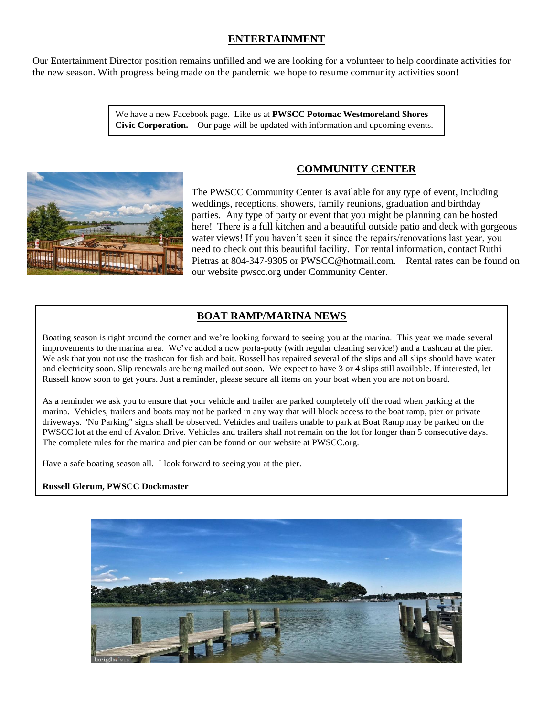# **ENTERTAINMENT**

Our Entertainment Director position remains unfilled and we are looking for a volunteer to help coordinate activities for the new season. With progress being made on the pandemic we hope to resume community activities soon!

> We have a new Facebook page. Like us at **PWSCC Potomac Westmoreland Shores Civic Corporation.** Our page will be updated with information and upcoming events.



# **COMMUNITY CENTER**

The PWSCC Community Center is available for any type of event, including weddings, receptions, showers, family reunions, graduation and birthday parties. Any type of party or event that you might be planning can be hosted here! There is a full kitchen and a beautiful outside patio and deck with gorgeous water views! If you haven't seen it since the repairs/renovations last year, you need to check out this beautiful facility. For rental information, contact Ruthi Pietras at 804-347-9305 or PWSCC@hotmail.com. Rental rates can be found on our website pwscc.org under Community Center.

# **BOAT RAMP/MARINA NEWS**

Boating season is right around the corner and we're looking forward to seeing you at the marina. This year we made several improvements to the marina area. We've added a new porta-potty (with regular cleaning service!) and a trashcan at the pier. We ask that you not use the trashcan for fish and bait. Russell has repaired several of the slips and all slips should have water and electricity soon. Slip renewals are being mailed out soon. We expect to have 3 or 4 slips still available. If interested, let Russell know soon to get yours. Just a reminder, please secure all items on your boat when you are not on board.

As a reminder we ask you to ensure that your vehicle and trailer are parked completely off the road when parking at the marina. Vehicles, trailers and boats may not be parked in any way that will block access to the boat ramp, pier or private driveways. "No Parking" signs shall be observed. Vehicles and trailers unable to park at Boat Ramp may be parked on the PWSCC lot at the end of Avalon Drive. Vehicles and trailers shall not remain on the lot for longer than 5 consecutive days. The complete rules for the marina and pier can be found on our website at PWSCC.org.

Have a safe boating season all. I look forward to seeing you at the pier.

#### **Russell Glerum, PWSCC Dockmaster**

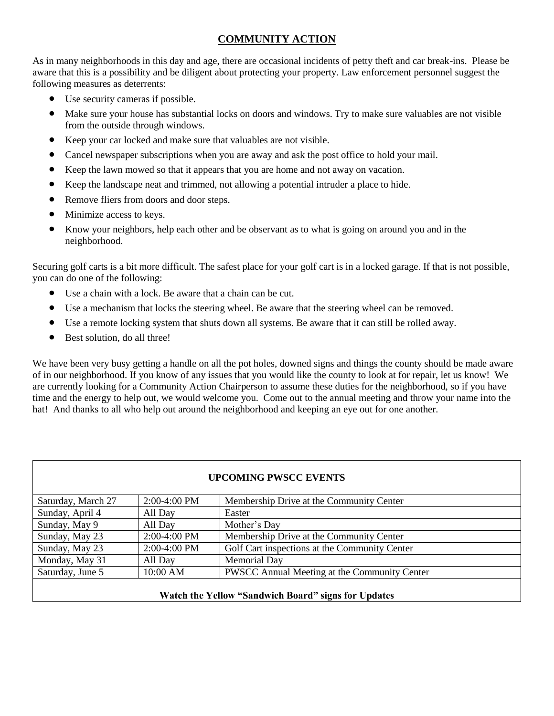# **COMMUNITY ACTION**

As in many neighborhoods in this day and age, there are occasional incidents of petty theft and car break-ins. Please be aware that this is a possibility and be diligent about protecting your property. Law enforcement personnel suggest the following measures as deterrents:

- Use security cameras if possible.
- Make sure your house has substantial locks on doors and windows. Try to make sure valuables are not visible from the outside through windows.
- Keep your car locked and make sure that valuables are not visible.
- Cancel newspaper subscriptions when you are away and ask the post office to hold your mail.
- Keep the lawn mowed so that it appears that you are home and not away on vacation.
- Keep the landscape neat and trimmed, not allowing a potential intruder a place to hide.
- Remove fliers from doors and door steps.
- Minimize access to keys.
- Know your neighbors, help each other and be observant as to what is going on around you and in the neighborhood.

Securing golf carts is a bit more difficult. The safest place for your golf cart is in a locked garage. If that is not possible, you can do one of the following:

- Use a chain with a lock. Be aware that a chain can be cut.
- Use a mechanism that locks the steering wheel. Be aware that the steering wheel can be removed.
- Use a remote locking system that shuts down all systems. Be aware that it can still be rolled away.
- Best solution, do all three!

We have been very busy getting a handle on all the pot holes, downed signs and things the county should be made aware of in our neighborhood. If you know of any issues that you would like the county to look at for repair, let us know! We are currently looking for a Community Action Chairperson to assume these duties for the neighborhood, so if you have time and the energy to help out, we would welcome you. Come out to the annual meeting and throw your name into the hat! And thanks to all who help out around the neighborhood and keeping an eye out for one another.

| <b>UPCOMING PWSCC EVENTS</b> |                |                                               |  |  |  |
|------------------------------|----------------|-----------------------------------------------|--|--|--|
| Saturday, March 27           | $2:00-4:00$ PM | Membership Drive at the Community Center      |  |  |  |
| Sunday, April 4              | All Day        | Easter                                        |  |  |  |
| Sunday, May 9                | All Day        | Mother's Day                                  |  |  |  |
| Sunday, May 23               | $2:00-4:00$ PM | Membership Drive at the Community Center      |  |  |  |
| Sunday, May 23               | 2:00-4:00 PM   | Golf Cart inspections at the Community Center |  |  |  |
| Monday, May 31               | All Day        | Memorial Day                                  |  |  |  |
| Saturday, June 5             | 10:00 AM       | PWSCC Annual Meeting at the Community Center  |  |  |  |
|                              |                |                                               |  |  |  |

### **Watch the Yellow "Sandwich Board" signs for Updates**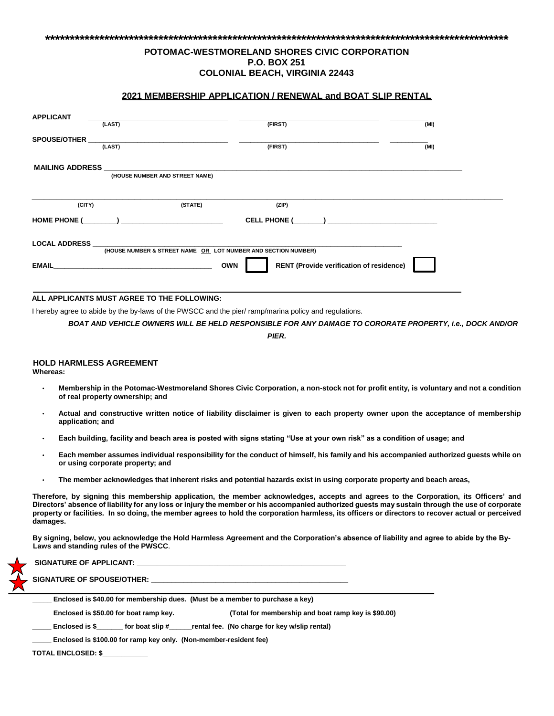#### **\*\*\*\*\*\*\*\*\*\*\*\*\*\*\*\*\*\*\*\*\*\*\*\*\*\*\*\*\*\*\*\*\*\*\*\*\*\*\*\*\*\*\*\*\*\*\*\*\*\*\*\*\*\*\*\*\*\*\*\*\*\*\*\*\*\*\*\*\*\*\*\*\*\*\*\*\*\*\*\*\*\*\*\*\*\*\*\*\*\*\*\*\*\***

#### **POTOMAC-WESTMORELAND SHORES CIVIC CORPORATION P.O. BOX 251 COLONIAL BEACH, VIRGINIA 22443**

#### **2021 MEMBERSHIP APPLICATION / RENEWAL and BOAT SLIP RENTAL**

| <b>APPLICANT</b>       | (LAST)                                                                                                                    | (FIRST)    | (MI)                                                                                                           |
|------------------------|---------------------------------------------------------------------------------------------------------------------------|------------|----------------------------------------------------------------------------------------------------------------|
| <b>SPOUSE/OTHER</b>    | (LAST)                                                                                                                    | (FIRST)    | (MI)                                                                                                           |
| <b>MAILING ADDRESS</b> | (HOUSE NUMBER AND STREET NAME)                                                                                            |            |                                                                                                                |
| (CITY)                 | (STATE)<br>HOME PHONE ( The set of the set of the set of the set of the set of the set of the set of the set of the set o | (ZIP)      | CELL PHONE ( The set of the set of the set of the set of the set of the set of the set of the set of the set o |
| <b>LOCAL ADDRESS</b>   |                                                                                                                           |            |                                                                                                                |
| <b>EMAIL</b>           | (HOUSE NUMBER & STREET NAME OR LOT NUMBER AND SECTION NUMBER)                                                             | <b>OWN</b> | RENT (Provide verification of residence)                                                                       |

#### **ALL APPLICANTS MUST AGREE TO THE FOLLOWING:**

I hereby agree to abide by the by-laws of the PWSCC and the pier/ ramp/marina policy and regulations.

*BOAT AND VEHICLE OWNERS WILL BE HELD RESPONSIBLE FOR ANY DAMAGE TO CORORATE PROPERTY, i.e., DOCK AND/OR* 

*PIER.*

#### **HOLD HARMLESS AGREEMENT**

**Whereas:** 

- **Membership in the Potomac-Westmoreland Shores Civic Corporation, a non-stock not for profit entity, is voluntary and not a condition of real property ownership; and**
- **Actual and constructive written notice of liability disclaimer is given to each property owner upon the acceptance of membership application; and**
- **Each building, facility and beach area is posted with signs stating "Use at your own risk" as a condition of usage; and**
- **Each member assumes individual responsibility for the conduct of himself, his family and his accompanied authorized guests while on or using corporate property; and**
- **The member acknowledges that inherent risks and potential hazards exist in using corporate property and beach areas,**

**Therefore, by signing this membership application, the member acknowledges, accepts and agrees to the Corporation, its Officers' and Directors' absence of liability for any loss or injury the member or his accompanied authorized guests may sustain through the use of corporate property or facilities. In so doing, the member agrees to hold the corporation harmless, its officers or directors to recover actual or perceived damages.** 

**By signing, below, you acknowledge the Hold Harmless Agreement and the Corporation's absence of liability and agree to abide by the By-Laws and standing rules of the PWSCC**.

SIGNATURE OF APPLICANT: **SIGNATURE OF SPOUSE/OTHER: \_\_\_\_\_\_\_\_\_\_\_\_\_\_\_\_\_\_\_\_\_\_\_\_\_\_\_\_\_\_\_\_\_\_\_\_\_\_\_\_\_\_\_\_\_\_\_\_\_ \_\_\_\_\_ Enclosed is \$40.00 for membership dues. (Must be a member to purchase a key) \_\_\_\_\_ Enclosed is \$50.00 for boat ramp key. (Total for membership and boat ramp key is \$90.00)** Enclosed is \$\_\_\_\_\_\_\_ for boat slip #\_\_\_\_\_rental fee. (No charge for key w/slip rental) **\_\_\_\_\_ Enclosed is \$100.00 for ramp key only. (Non-member-resident fee)** 

**TOTAL ENCLOSED: \$\_\_\_\_\_\_\_\_\_\_\_\_**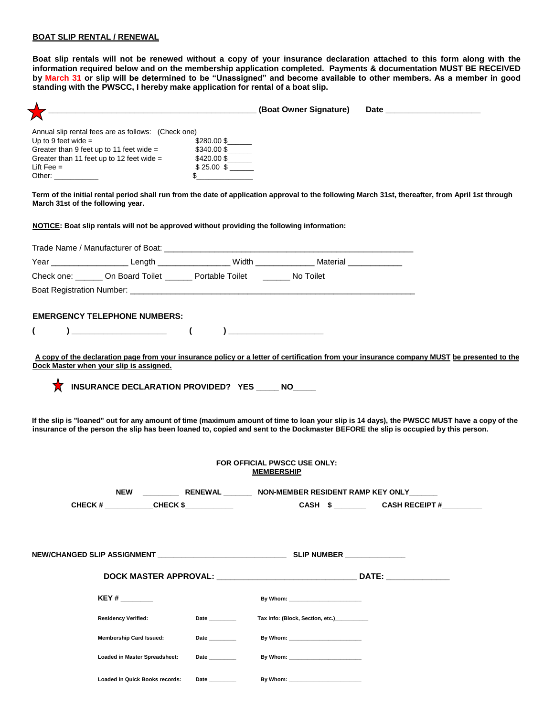#### **BOAT SLIP RENTAL / RENEWAL**

**Boat slip rentals will not be renewed without a copy of your insurance declaration attached to this form along with the information required below and on the membership application completed. Payments & documentation MUST BE RECEIVED by March 31 or slip will be determined to be "Unassigned" and become available to other members. As a member in good standing with the PWSCC, I hereby make application for rental of a boat slip.** 

| Annual slip rental fees are as follows: (Check one)                                                       |                |                                                                                                                                                                                                                                                                                   |  |  |  |  |
|-----------------------------------------------------------------------------------------------------------|----------------|-----------------------------------------------------------------------------------------------------------------------------------------------------------------------------------------------------------------------------------------------------------------------------------|--|--|--|--|
| Up to 9 feet wide $=$                                                                                     | \$280.00 \$    |                                                                                                                                                                                                                                                                                   |  |  |  |  |
| Greater than 9 feet up to 11 feet wide = $$340.00$ \$<br>Greater than 11 feet up to 12 feet wide $=$      | \$420.00\$     |                                                                                                                                                                                                                                                                                   |  |  |  |  |
| Lift Fee $=$                                                                                              | $$25.00$ \$    |                                                                                                                                                                                                                                                                                   |  |  |  |  |
| Other: _____________                                                                                      | \$             |                                                                                                                                                                                                                                                                                   |  |  |  |  |
| March 31st of the following year.                                                                         |                | Term of the initial rental period shall run from the date of application approval to the following March 31st, thereafter, from April 1st through                                                                                                                                 |  |  |  |  |
| NOTICE: Boat slip rentals will not be approved without providing the following information:               |                |                                                                                                                                                                                                                                                                                   |  |  |  |  |
|                                                                                                           |                |                                                                                                                                                                                                                                                                                   |  |  |  |  |
| Year _______________________Length ____________________Width _________________Material __________________ |                |                                                                                                                                                                                                                                                                                   |  |  |  |  |
| Check one: ______ On Board Toilet ______ Portable Toilet ______ No Toilet                                 |                |                                                                                                                                                                                                                                                                                   |  |  |  |  |
|                                                                                                           |                |                                                                                                                                                                                                                                                                                   |  |  |  |  |
| <b>EMERGENCY TELEPHONE NUMBERS:</b>                                                                       |                |                                                                                                                                                                                                                                                                                   |  |  |  |  |
| €                                                                                                         |                |                                                                                                                                                                                                                                                                                   |  |  |  |  |
|                                                                                                           |                |                                                                                                                                                                                                                                                                                   |  |  |  |  |
| Dock Master when your slip is assigned.                                                                   |                | A copy of the declaration page from your insurance policy or a letter of certification from your insurance company MUST be presented to the                                                                                                                                       |  |  |  |  |
|                                                                                                           |                |                                                                                                                                                                                                                                                                                   |  |  |  |  |
| INSURANCE DECLARATION PROVIDED? YES _____ NO____                                                          |                |                                                                                                                                                                                                                                                                                   |  |  |  |  |
|                                                                                                           |                | If the slip is "loaned" out for any amount of time (maximum amount of time to loan your slip is 14 days), the PWSCC MUST have a copy of the<br>insurance of the person the slip has been loaned to, copied and sent to the Dockmaster BEFORE the slip is occupied by this person. |  |  |  |  |
|                                                                                                           |                | FOR OFFICIAL PWSCC USE ONLY:                                                                                                                                                                                                                                                      |  |  |  |  |
|                                                                                                           |                | <b>MEMBERSHIP</b>                                                                                                                                                                                                                                                                 |  |  |  |  |
|                                                                                                           |                | NEW RENEWAL NON-MEMBER RESIDENT RAMP KEY ONLY                                                                                                                                                                                                                                     |  |  |  |  |
| CHECK # ___________CHECK \$                                                                               |                |                                                                                                                                                                                                                                                                                   |  |  |  |  |
|                                                                                                           |                |                                                                                                                                                                                                                                                                                   |  |  |  |  |
| NEW/CHANGED SLIP ASSIGNMENT __________________________________                                            |                | SLIP NUMBER <b>Andrew SLIP</b>                                                                                                                                                                                                                                                    |  |  |  |  |
|                                                                                                           |                |                                                                                                                                                                                                                                                                                   |  |  |  |  |
|                                                                                                           |                |                                                                                                                                                                                                                                                                                   |  |  |  |  |
| KEY #                                                                                                     |                | By Whom: the contract of the contract of the contract of the contract of the contract of the contract of the contract of the contract of the contract of the contract of the contract of the contract of the contract of the c                                                    |  |  |  |  |
| <b>Residency Verified:</b>                                                                                | Date ________  | Tax info: (Block, Section, etc.) <b>Cambridge 12.1 Contains 12.1 Contains 12.1 Contains 12.1 Contains 12.1 Contains 12.1 Contains 12.1 Contains 12.1 Contains 12.1 Contains 12.1 Contains 12.1 Contains 12.1 Contains 12.1 Conta</b>                                              |  |  |  |  |
| <b>Membership Card Issued:</b>                                                                            | Date           | By Whom: __________________________                                                                                                                                                                                                                                               |  |  |  |  |
| Loaded in Master Spreadsheet:                                                                             | Date           | By Whom: _________________________                                                                                                                                                                                                                                                |  |  |  |  |
| Loaded in Quick Books records:                                                                            | Date _________ |                                                                                                                                                                                                                                                                                   |  |  |  |  |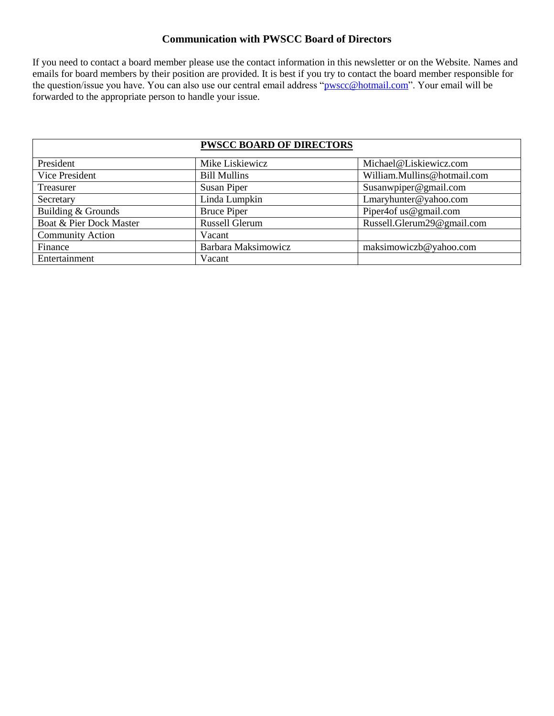### **Communication with PWSCC Board of Directors**

If you need to contact a board member please use the contact information in this newsletter or on the Website. Names and emails for board members by their position are provided. It is best if you try to contact the board member responsible for the question/issue you have. You can also use our central email address ["pwscc@hotmail.com"](mailto:pwscc@hotmail.com). Your email will be forwarded to the appropriate person to handle your issue.

|                         | <b>PWSCC BOARD OF DIRECTORS</b> |                             |
|-------------------------|---------------------------------|-----------------------------|
| President               | Mike Liskiewicz                 | Michael@Liskiewicz.com      |
| Vice President          | <b>Bill Mullins</b>             | William.Mullins@hotmail.com |
| Treasurer               | <b>Susan Piper</b>              | Susanwpiper@gmail.com       |
| Secretary               | Linda Lumpkin                   | Lmaryhunter@yahoo.com       |
| Building & Grounds      | <b>Bruce Piper</b>              | Piper4of us@gmail.com       |
| Boat & Pier Dock Master | Russell Glerum                  | Russell.Glerum29@gmail.com  |
| <b>Community Action</b> | Vacant                          |                             |
| Finance                 | Barbara Maksimowicz             | maksimowiczb@yahoo.com      |
| Entertainment           | Vacant                          |                             |